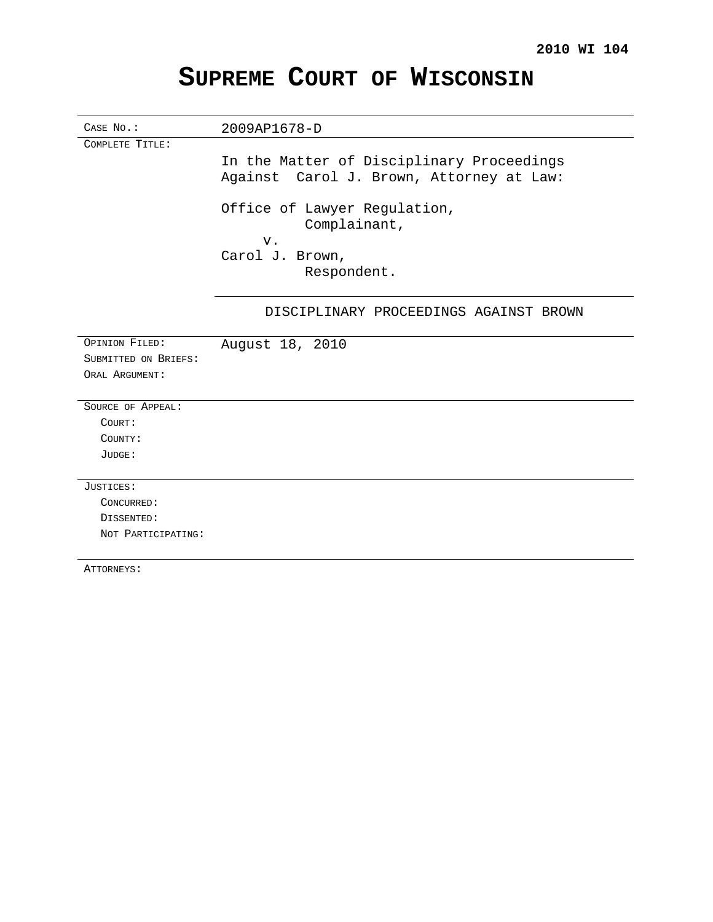## **SUPREME COURT OF WISCONSIN**

| CASE No.:            | 2009AP1678-D                                                                            |
|----------------------|-----------------------------------------------------------------------------------------|
| COMPLETE TITLE:      |                                                                                         |
|                      | In the Matter of Disciplinary Proceedings<br>Against Carol J. Brown, Attorney at Law:   |
|                      | Office of Lawyer Regulation,<br>Complainant,<br>$V$ .<br>Carol J. Brown,<br>Respondent. |
|                      | DISCIPLINARY PROCEEDINGS AGAINST BROWN                                                  |
| OPINION FILED:       | August 18, 2010                                                                         |
| SUBMITTED ON BRIEFS: |                                                                                         |
| ORAL ARGUMENT:       |                                                                                         |
| SOURCE OF APPEAL:    |                                                                                         |
| COURT:               |                                                                                         |
| COUNTY:              |                                                                                         |
| JUDGE:               |                                                                                         |
| JUSTICES:            |                                                                                         |
| CONCURRED:           |                                                                                         |
| DISSENTED:           |                                                                                         |
| NOT PARTICIPATING:   |                                                                                         |
| ATTORNEYS:           |                                                                                         |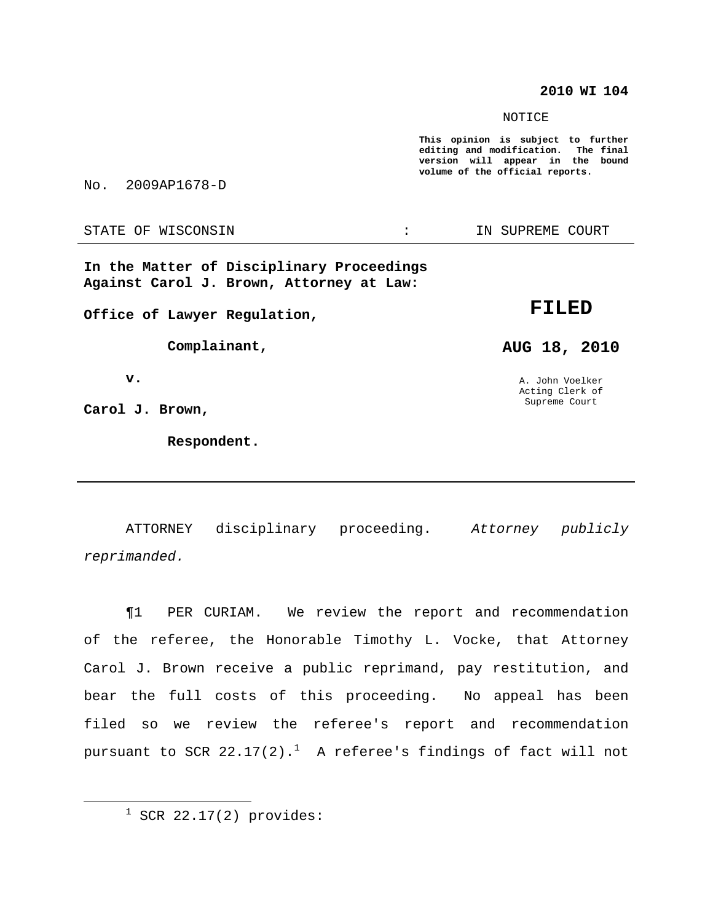## **2010 WI 104**

NOTICE

**This opinion is subject to further editing and modification. The final version will appear in the bound volume of the official reports.**

No. 2009AP1678-D

STATE OF WISCONSIN THE RESERVE STATE OF WISCONSIN STATE OF THE SUPREME COURT

**In the Matter of Disciplinary Proceedings Against Carol J. Brown, Attorney at Law:**

**Office of Lawyer Regulation,**

**Complainant,**

**v.**

**Carol J. Brown,**

**Respondent.**

**FILED**

**AUG 18, 2010**

A. John Voelker Acting Clerk of Supreme Court

ATTORNEY disciplinary proceeding. Attorney publicly reprimanded.

¶1 PER CURIAM. We review the report and recommendation of the referee, the Honorable Timothy L. Vocke, that Attorney Carol J. Brown receive a public reprimand, pay restitution, and bear the full costs of this proceeding. No appeal has been filed so we review the referee's report and recommendation pursuant to SCR 22.17(2). $^1$  A referee's findings of fact will not

 $1$  SCR 22.17(2) provides: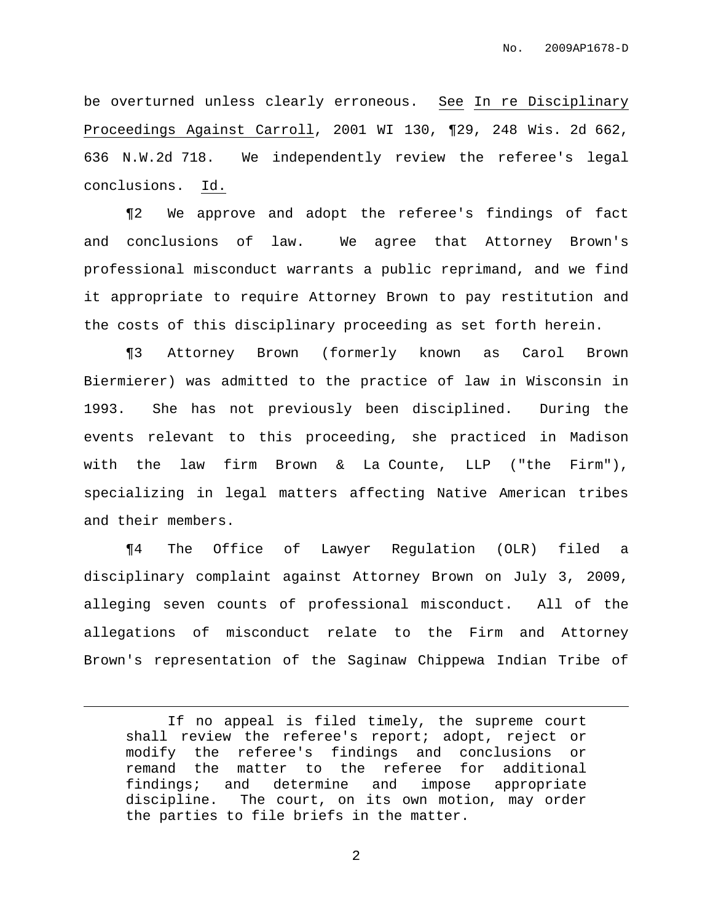be overturned unless clearly erroneous. See In re Disciplinary Proceedings Against Carroll, 2001 WI 130, ¶29, 248 Wis. 2d 662, 636 N.W.2d 718. We independently review the referee's legal conclusions. Id.

¶2 We approve and adopt the referee's findings of fact and conclusions of law. We agree that Attorney Brown's professional misconduct warrants a public reprimand, and we find it appropriate to require Attorney Brown to pay restitution and the costs of this disciplinary proceeding as set forth herein.

¶3 Attorney Brown (formerly known as Carol Brown Biermierer) was admitted to the practice of law in Wisconsin in 1993. She has not previously been disciplined. During the events relevant to this proceeding, she practiced in Madison with the law firm Brown & La Counte, LLP ("the Firm"), specializing in legal matters affecting Native American tribes and their members.

¶4 The Office of Lawyer Regulation (OLR) filed a disciplinary complaint against Attorney Brown on July 3, 2009, alleging seven counts of professional misconduct. All of the allegations of misconduct relate to the Firm and Attorney Brown's representation of the Saginaw Chippewa Indian Tribe of

If no appeal is filed timely, the supreme court shall review the referee's report; adopt, reject or modify the referee's findings and conclusions or remand the matter to the referee for additional findings; and determine and impose appropriate discipline. The court, on its own motion, may order the parties to file briefs in the matter.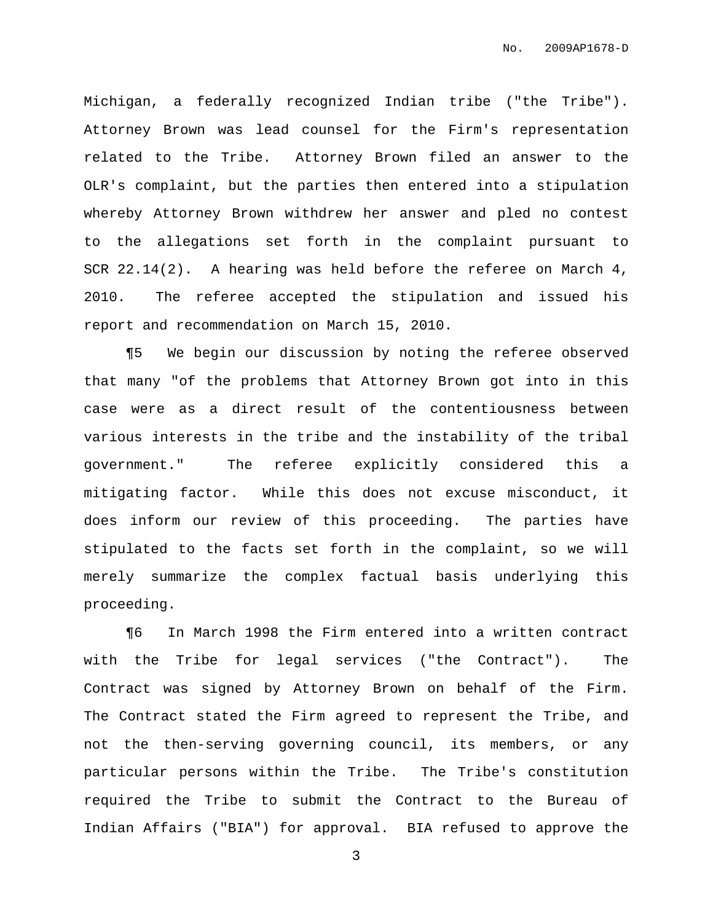Michigan, a federally recognized Indian tribe ("the Tribe"). Attorney Brown was lead counsel for the Firm's representation related to the Tribe. Attorney Brown filed an answer to the OLR's complaint, but the parties then entered into a stipulation whereby Attorney Brown withdrew her answer and pled no contest to the allegations set forth in the complaint pursuant to SCR  $22.14(2)$ . A hearing was held before the referee on March 4, 2010. The referee accepted the stipulation and issued his report and recommendation on March 15, 2010.

¶5 We begin our discussion by noting the referee observed that many "of the problems that Attorney Brown got into in this case were as a direct result of the contentiousness between various interests in the tribe and the instability of the tribal government." The referee explicitly considered this a mitigating factor. While this does not excuse misconduct, it does inform our review of this proceeding. The parties have stipulated to the facts set forth in the complaint, so we will merely summarize the complex factual basis underlying this proceeding.

¶6 In March 1998 the Firm entered into a written contract with the Tribe for legal services ("the Contract"). The Contract was signed by Attorney Brown on behalf of the Firm. The Contract stated the Firm agreed to represent the Tribe, and not the then-serving governing council, its members, or any particular persons within the Tribe. The Tribe's constitution required the Tribe to submit the Contract to the Bureau of Indian Affairs ("BIA") for approval. BIA refused to approve the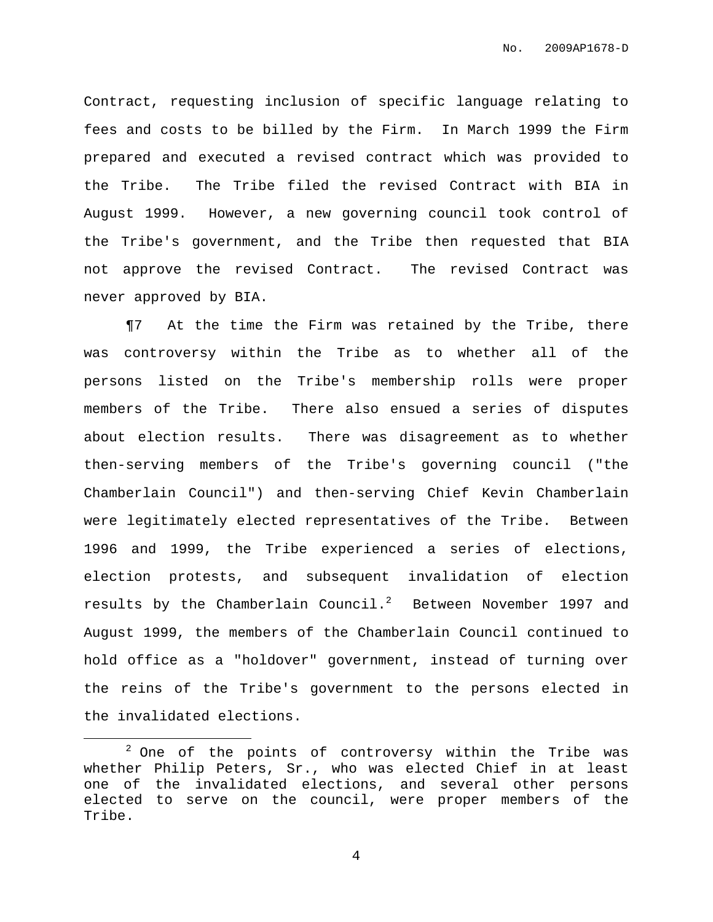Contract, requesting inclusion of specific language relating to fees and costs to be billed by the Firm. In March 1999 the Firm prepared and executed a revised contract which was provided to the Tribe. The Tribe filed the revised Contract with BIA in August 1999. However, a new governing council took control of the Tribe's government, and the Tribe then requested that BIA not approve the revised Contract. The revised Contract was never approved by BIA.

¶7 At the time the Firm was retained by the Tribe, there was controversy within the Tribe as to whether all of the persons listed on the Tribe's membership rolls were proper members of the Tribe. There also ensued a series of disputes about election results. There was disagreement as to whether then-serving members of the Tribe's governing council ("the Chamberlain Council") and then-serving Chief Kevin Chamberlain were legitimately elected representatives of the Tribe. Between 1996 and 1999, the Tribe experienced a series of elections, election protests, and subsequent invalidation of election results by the Chamberlain Council. $^2$  Between November 1997 and August 1999, the members of the Chamberlain Council continued to hold office as a "holdover" government, instead of turning over the reins of the Tribe's government to the persons elected in the invalidated elections.

 $2$  One of the points of controversy within the Tribe was whether Philip Peters, Sr., who was elected Chief in at least one of the invalidated elections, and several other persons elected to serve on the council, were proper members of the Tribe.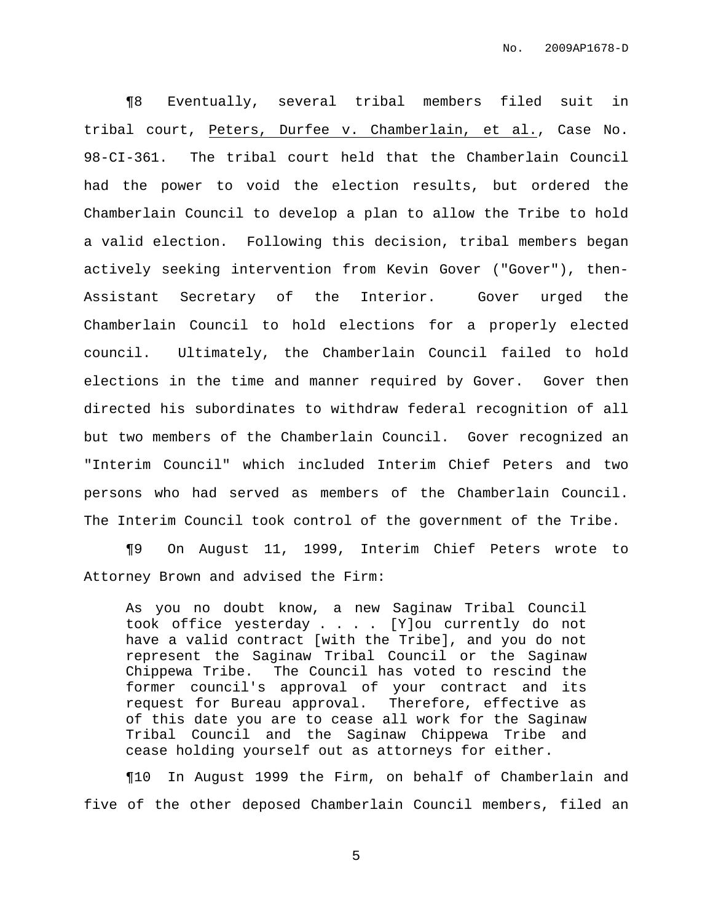¶8 Eventually, several tribal members filed suit in tribal court, Peters, Durfee v. Chamberlain, et al., Case No. 98-CI-361. The tribal court held that the Chamberlain Council had the power to void the election results, but ordered the Chamberlain Council to develop a plan to allow the Tribe to hold a valid election. Following this decision, tribal members began actively seeking intervention from Kevin Gover ("Gover"), then-Assistant Secretary of the Interior. Gover urged the Chamberlain Council to hold elections for a properly elected council. Ultimately, the Chamberlain Council failed to hold elections in the time and manner required by Gover. Gover then directed his subordinates to withdraw federal recognition of all but two members of the Chamberlain Council. Gover recognized an "Interim Council" which included Interim Chief Peters and two persons who had served as members of the Chamberlain Council. The Interim Council took control of the government of the Tribe.

¶9 On August 11, 1999, Interim Chief Peters wrote to Attorney Brown and advised the Firm:

As you no doubt know, a new Saginaw Tribal Council took office yesterday . . . . [Y]ou currently do not have a valid contract [with the Tribe], and you do not represent the Saginaw Tribal Council or the Saginaw Chippewa Tribe. The Council has voted to rescind the former council's approval of your contract and its request for Bureau approval. Therefore, effective as of this date you are to cease all work for the Saginaw Tribal Council and the Saginaw Chippewa Tribe and cease holding yourself out as attorneys for either.

¶10 In August 1999 the Firm, on behalf of Chamberlain and five of the other deposed Chamberlain Council members, filed an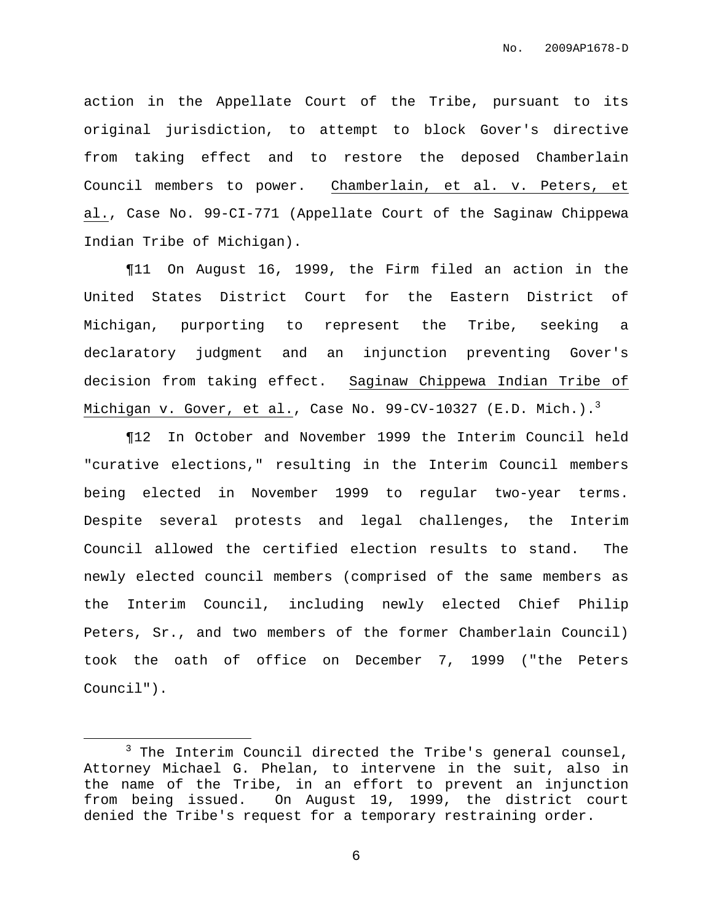action in the Appellate Court of the Tribe, pursuant to its original jurisdiction, to attempt to block Gover's directive from taking effect and to restore the deposed Chamberlain Council members to power. Chamberlain, et al. v. Peters, et al., Case No. 99-CI-771 (Appellate Court of the Saginaw Chippewa Indian Tribe of Michigan).

¶11 On August 16, 1999, the Firm filed an action in the United States District Court for the Eastern District of Michigan, purporting to represent the Tribe, seeking a declaratory judgment and an injunction preventing Gover's decision from taking effect. Saginaw Chippewa Indian Tribe of Michigan v. Gover, et al., Case No. 99-CV-10327 (E.D. Mich.). $^3$ 

¶12 In October and November 1999 the Interim Council held "curative elections," resulting in the Interim Council members being elected in November 1999 to regular two-year terms. Despite several protests and legal challenges, the Interim Council allowed the certified election results to stand. The newly elected council members (comprised of the same members as the Interim Council, including newly elected Chief Philip Peters, Sr., and two members of the former Chamberlain Council) took the oath of office on December 7, 1999 ("the Peters Council").

<sup>&</sup>lt;sup>3</sup> The Interim Council directed the Tribe's general counsel, Attorney Michael G. Phelan, to intervene in the suit, also in the name of the Tribe, in an effort to prevent an injunction from being issued. On August 19, 1999, the district court denied the Tribe's request for a temporary restraining order.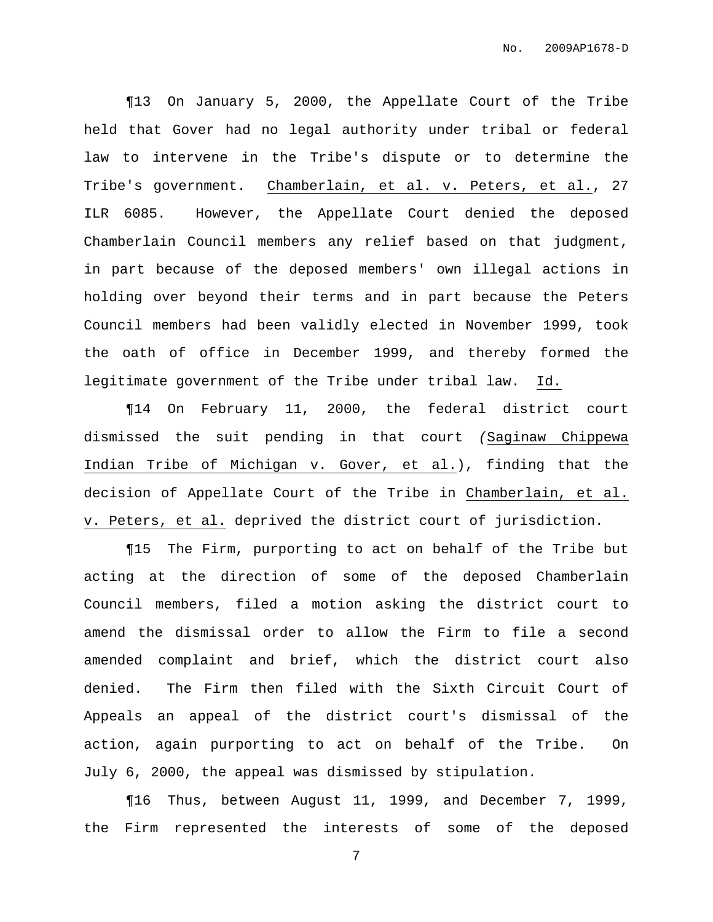¶13 On January 5, 2000, the Appellate Court of the Tribe held that Gover had no legal authority under tribal or federal law to intervene in the Tribe's dispute or to determine the Tribe's government. Chamberlain, et al. v. Peters, et al., 27 ILR 6085. However, the Appellate Court denied the deposed Chamberlain Council members any relief based on that judgment, in part because of the deposed members' own illegal actions in holding over beyond their terms and in part because the Peters Council members had been validly elected in November 1999, took the oath of office in December 1999, and thereby formed the legitimate government of the Tribe under tribal law. Id.

¶14 On February 11, 2000, the federal district court dismissed the suit pending in that court (Saginaw Chippewa Indian Tribe of Michigan v. Gover, et al.), finding that the decision of Appellate Court of the Tribe in Chamberlain, et al. v. Peters, et al. deprived the district court of jurisdiction.

¶15 The Firm, purporting to act on behalf of the Tribe but acting at the direction of some of the deposed Chamberlain Council members, filed a motion asking the district court to amend the dismissal order to allow the Firm to file a second amended complaint and brief, which the district court also denied. The Firm then filed with the Sixth Circuit Court of Appeals an appeal of the district court's dismissal of the action, again purporting to act on behalf of the Tribe. On July 6, 2000, the appeal was dismissed by stipulation.

¶16 Thus, between August 11, 1999, and December 7, 1999, the Firm represented the interests of some of the deposed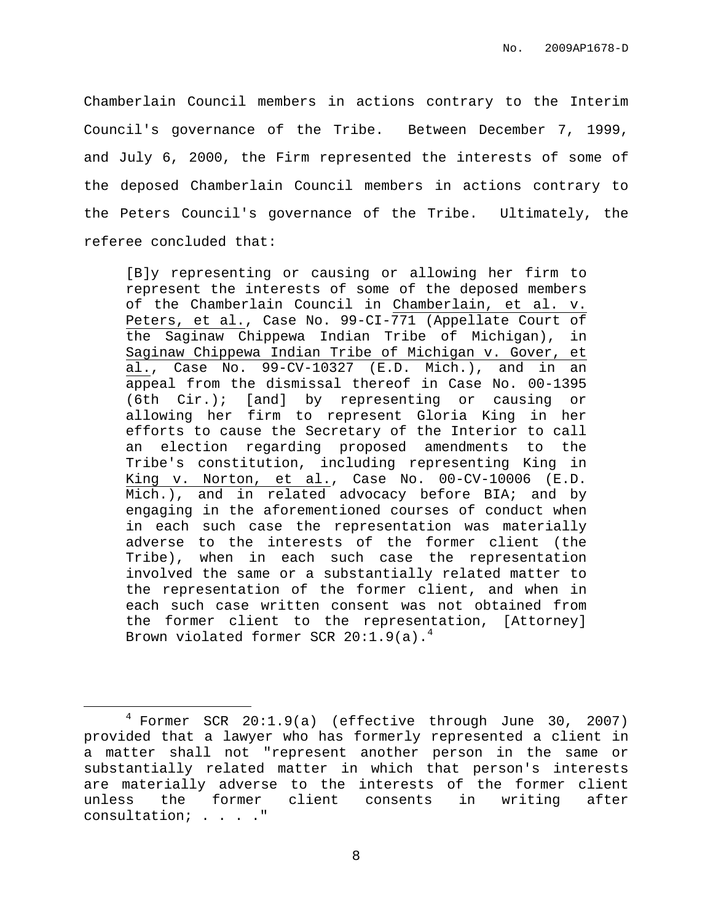Chamberlain Council members in actions contrary to the Interim Council's governance of the Tribe. Between December 7, 1999, and July 6, 2000, the Firm represented the interests of some of the deposed Chamberlain Council members in actions contrary to the Peters Council's governance of the Tribe. Ultimately, the referee concluded that:

[B]y representing or causing or allowing her firm to represent the interests of some of the deposed members of the Chamberlain Council in Chamberlain, et al. v. Peters, et al., Case No. 99-CI-771 (Appellate Court of the Saginaw Chippewa Indian Tribe of Michigan), in Saginaw Chippewa Indian Tribe of Michigan v. Gover, et al., Case No. 99-CV-10327 (E.D. Mich.), and in an appeal from the dismissal thereof in Case No. 00-1395 (6th Cir.); [and] by representing or causing or allowing her firm to represent Gloria King in her efforts to cause the Secretary of the Interior to call an election regarding proposed amendments to the Tribe's constitution, including representing King in King v. Norton, et al., Case No. 00-CV-10006 (E.D. Mich.), and in related advocacy before BIA; and by engaging in the aforementioned courses of conduct when in each such case the representation was materially adverse to the interests of the former client (the Tribe), when in each such case the representation involved the same or a substantially related matter to the representation of the former client, and when in each such case written consent was not obtained from the former client to the representation, [Attorney] Brown violated former SCR 20:1.9(a).<sup>4</sup>

 $4$  Former SCR 20:1.9(a) (effective through June 30, 2007) provided that a lawyer who has formerly represented a client in a matter shall not "represent another person in the same or substantially related matter in which that person's interests are materially adverse to the interests of the former client unless the former client consents in writing after consultation; . . . ."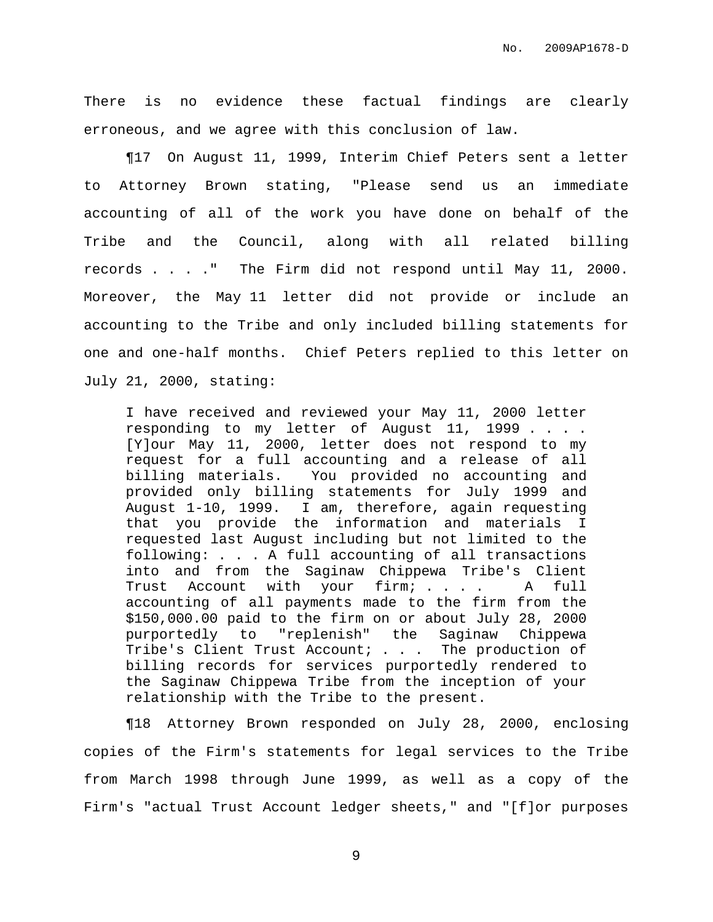There is no evidence these factual findings are clearly erroneous, and we agree with this conclusion of law.

¶17 On August 11, 1999, Interim Chief Peters sent a letter to Attorney Brown stating, "Please send us an immediate accounting of all of the work you have done on behalf of the Tribe and the Council, along with all related billing records . . . ." The Firm did not respond until May 11, 2000. Moreover, the May 11 letter did not provide or include an accounting to the Tribe and only included billing statements for one and one-half months. Chief Peters replied to this letter on July 21, 2000, stating:

I have received and reviewed your May 11, 2000 letter responding to my letter of August 11, 1999 . . . . [Y]our May 11, 2000, letter does not respond to my request for a full accounting and a release of all billing materials. You provided no accounting and provided only billing statements for July 1999 and August 1-10, 1999. I am, therefore, again requesting that you provide the information and materials I requested last August including but not limited to the following: . . . A full accounting of all transactions into and from the Saginaw Chippewa Tribe's Client Trust Account with your firm; . . . . A full accounting of all payments made to the firm from the \$150,000.00 paid to the firm on or about July 28, 2000 purportedly to "replenish" the Saginaw Chippewa Tribe's Client Trust Account; . . . The production of billing records for services purportedly rendered to the Saginaw Chippewa Tribe from the inception of your relationship with the Tribe to the present.

¶18 Attorney Brown responded on July 28, 2000, enclosing copies of the Firm's statements for legal services to the Tribe from March 1998 through June 1999, as well as a copy of the Firm's "actual Trust Account ledger sheets," and "[f]or purposes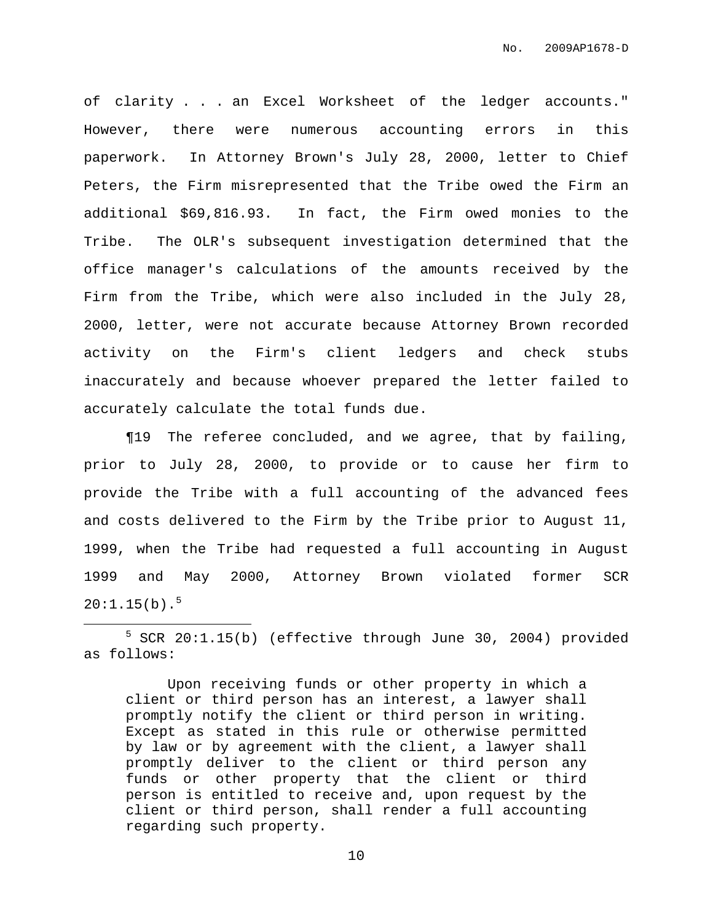of clarity . . . an Excel Worksheet of the ledger accounts." However, there were numerous accounting errors in this paperwork. In Attorney Brown's July 28, 2000, letter to Chief Peters, the Firm misrepresented that the Tribe owed the Firm an additional \$69,816.93. In fact, the Firm owed monies to the Tribe. The OLR's subsequent investigation determined that the office manager's calculations of the amounts received by the Firm from the Tribe, which were also included in the July 28, 2000, letter, were not accurate because Attorney Brown recorded activity on the Firm's client ledgers and check stubs inaccurately and because whoever prepared the letter failed to accurately calculate the total funds due.

¶19 The referee concluded, and we agree, that by failing, prior to July 28, 2000, to provide or to cause her firm to provide the Tribe with a full accounting of the advanced fees and costs delivered to the Firm by the Tribe prior to August 11, 1999, when the Tribe had requested a full accounting in August 1999 and May 2000, Attorney Brown violated former SCR  $20:1.15(b).$ <sup>5</sup>

<sup>5</sup> SCR 20:1.15(b) (effective through June 30, 2004) provided as follows:

Upon receiving funds or other property in which a client or third person has an interest, a lawyer shall promptly notify the client or third person in writing. Except as stated in this rule or otherwise permitted by law or by agreement with the client, a lawyer shall promptly deliver to the client or third person any funds or other property that the client or third person is entitled to receive and, upon request by the client or third person, shall render a full accounting regarding such property.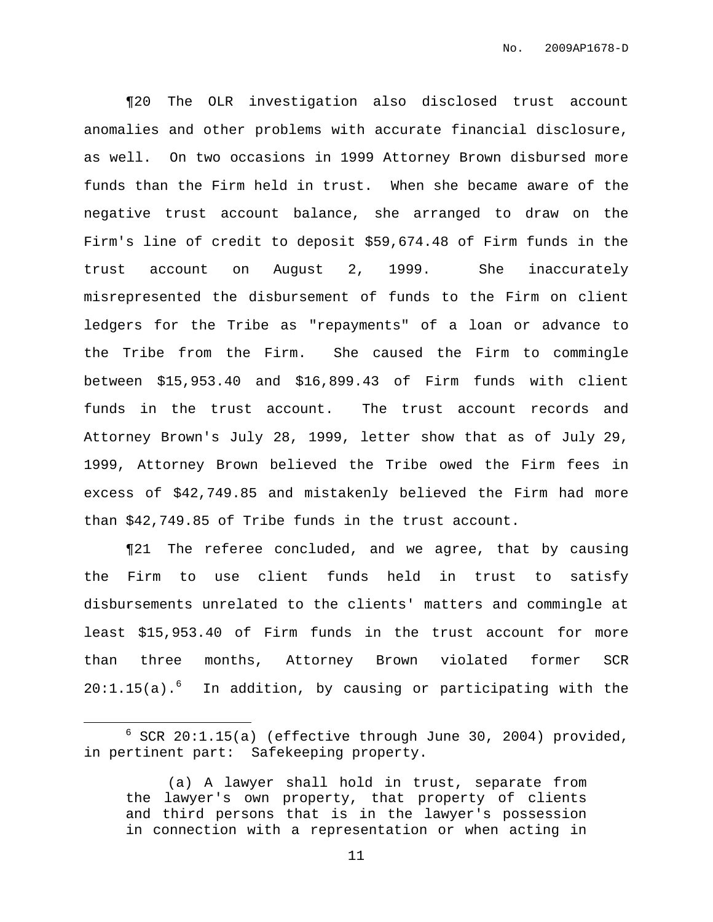¶20 The OLR investigation also disclosed trust account anomalies and other problems with accurate financial disclosure, as well. On two occasions in 1999 Attorney Brown disbursed more funds than the Firm held in trust. When she became aware of the negative trust account balance, she arranged to draw on the Firm's line of credit to deposit \$59,674.48 of Firm funds in the trust account on August 2, 1999. She inaccurately misrepresented the disbursement of funds to the Firm on client ledgers for the Tribe as "repayments" of a loan or advance to the Tribe from the Firm. She caused the Firm to commingle between \$15,953.40 and \$16,899.43 of Firm funds with client funds in the trust account. The trust account records and Attorney Brown's July 28, 1999, letter show that as of July 29, 1999, Attorney Brown believed the Tribe owed the Firm fees in excess of \$42,749.85 and mistakenly believed the Firm had more than \$42,749.85 of Tribe funds in the trust account.

¶21 The referee concluded, and we agree, that by causing the Firm to use client funds held in trust to satisfy disbursements unrelated to the clients' matters and commingle at least \$15,953.40 of Firm funds in the trust account for more than three months, Attorney Brown violated former SCR  $20:1.15(a)$ .<sup>6</sup> In addition, by causing or participating with the

 $6$  SCR 20:1.15(a) (effective through June 30, 2004) provided, in pertinent part: Safekeeping property.

<sup>(</sup>a) A lawyer shall hold in trust, separate from the lawyer's own property, that property of clients and third persons that is in the lawyer's possession in connection with a representation or when acting in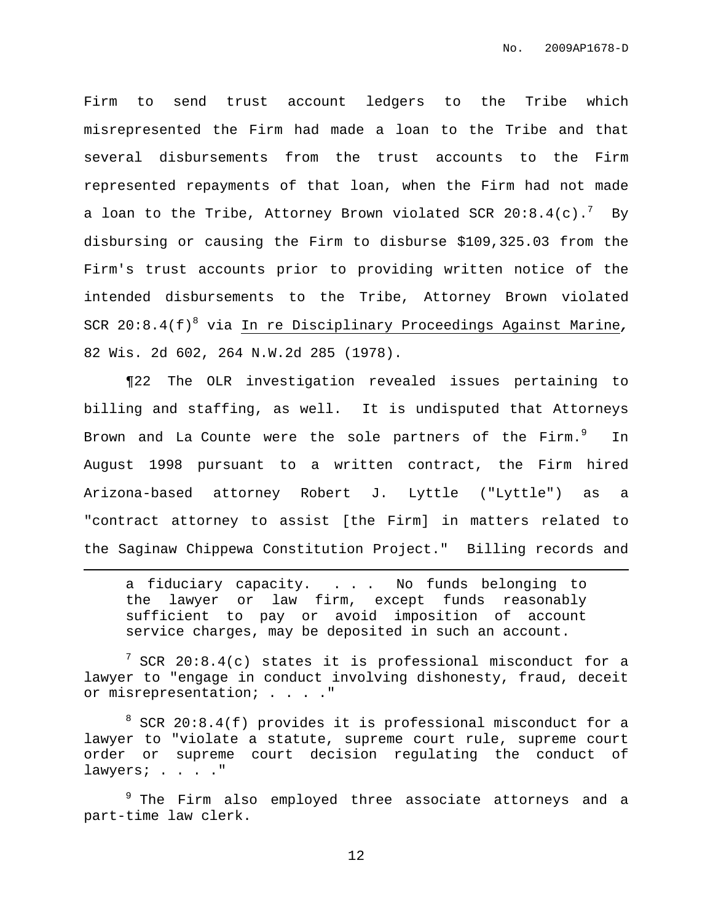Firm to send trust account ledgers to the Tribe which misrepresented the Firm had made a loan to the Tribe and that several disbursements from the trust accounts to the Firm represented repayments of that loan, when the Firm had not made a loan to the Tribe, Attorney Brown violated SCR 20:8.4(c). $^7\,$  By disbursing or causing the Firm to disburse \$109,325.03 from the Firm's trust accounts prior to providing written notice of the intended disbursements to the Tribe, Attorney Brown violated SCR 20:8.4(f) <sup>8</sup> via In re Disciplinary Proceedings Against Marine**,** 82 Wis. 2d 602, 264 N.W.2d 285 (1978).

¶22 The OLR investigation revealed issues pertaining to billing and staffing, as well. It is undisputed that Attorneys Brown and La Counte were the sole partners of the Firm.<sup>9</sup> <sup>9</sup> In August 1998 pursuant to a written contract, the Firm hired Arizona-based attorney Robert J. Lyttle ("Lyttle") as a "contract attorney to assist [the Firm] in matters related to the Saginaw Chippewa Constitution Project." Billing records and

a fiduciary capacity. . . . No funds belonging to the lawyer or law firm, except funds reasonably sufficient to pay or avoid imposition of account service charges, may be deposited in such an account.

 $7$  SCR 20:8.4(c) states it is professional misconduct for a lawyer to "engage in conduct involving dishonesty, fraud, deceit or misrepresentation; . . . ."

 $8$  SCR 20:8.4(f) provides it is professional misconduct for a lawyer to "violate a statute, supreme court rule, supreme court order or supreme court decision regulating the conduct of lawyers; . . . . "

<sup>9</sup> The Firm also employed three associate attorneys and a part-time law clerk.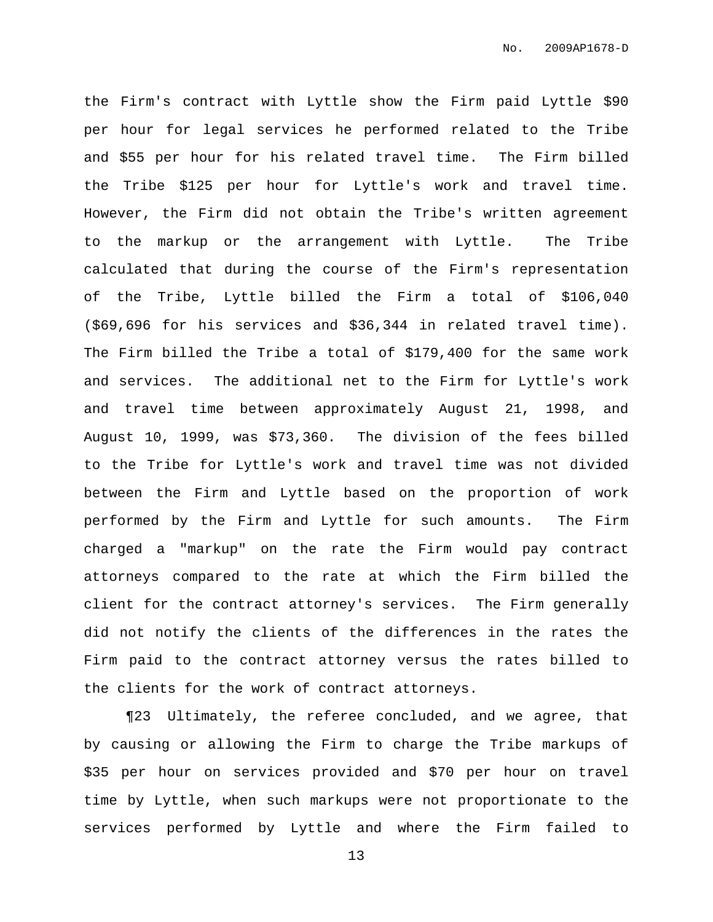the Firm's contract with Lyttle show the Firm paid Lyttle \$90 per hour for legal services he performed related to the Tribe and \$55 per hour for his related travel time. The Firm billed the Tribe \$125 per hour for Lyttle's work and travel time. However, the Firm did not obtain the Tribe's written agreement to the markup or the arrangement with Lyttle. The Tribe calculated that during the course of the Firm's representation of the Tribe, Lyttle billed the Firm a total of \$106,040 (\$69,696 for his services and \$36,344 in related travel time). The Firm billed the Tribe a total of \$179,400 for the same work and services. The additional net to the Firm for Lyttle's work and travel time between approximately August 21, 1998, and August 10, 1999, was \$73,360. The division of the fees billed to the Tribe for Lyttle's work and travel time was not divided between the Firm and Lyttle based on the proportion of work performed by the Firm and Lyttle for such amounts. The Firm charged a "markup" on the rate the Firm would pay contract attorneys compared to the rate at which the Firm billed the client for the contract attorney's services. The Firm generally did not notify the clients of the differences in the rates the Firm paid to the contract attorney versus the rates billed to the clients for the work of contract attorneys.

¶23 Ultimately, the referee concluded, and we agree, that by causing or allowing the Firm to charge the Tribe markups of \$35 per hour on services provided and \$70 per hour on travel time by Lyttle, when such markups were not proportionate to the services performed by Lyttle and where the Firm failed to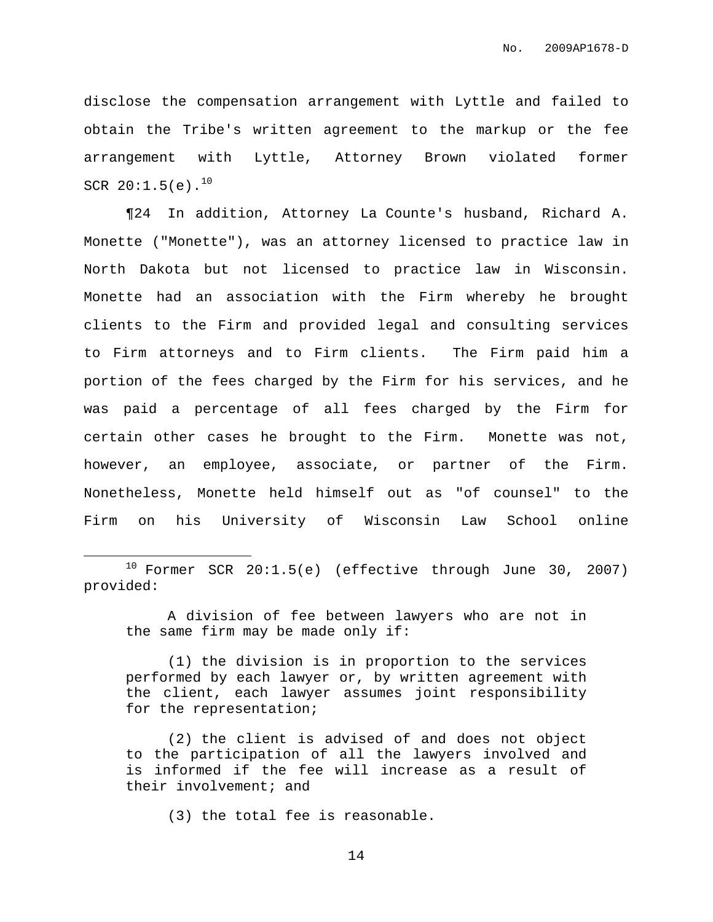disclose the compensation arrangement with Lyttle and failed to obtain the Tribe's written agreement to the markup or the fee arrangement with Lyttle, Attorney Brown violated former SCR  $20:1.5(e).^{10}$ 

¶24 In addition, Attorney La Counte's husband, Richard A. Monette ("Monette"), was an attorney licensed to practice law in North Dakota but not licensed to practice law in Wisconsin. Monette had an association with the Firm whereby he brought clients to the Firm and provided legal and consulting services to Firm attorneys and to Firm clients. The Firm paid him a portion of the fees charged by the Firm for his services, and he was paid a percentage of all fees charged by the Firm for certain other cases he brought to the Firm. Monette was not, however, an employee, associate, or partner of the Firm. Nonetheless, Monette held himself out as "of counsel" to the Firm on his University of Wisconsin Law School online

 $10$  Former SCR 20:1.5(e) (effective through June 30, 2007) provided:

A division of fee between lawyers who are not in the same firm may be made only if:

(1) the division is in proportion to the services performed by each lawyer or, by written agreement with the client, each lawyer assumes joint responsibility for the representation;

(2) the client is advised of and does not object to the participation of all the lawyers involved and is informed if the fee will increase as a result of their involvement; and

(3) the total fee is reasonable.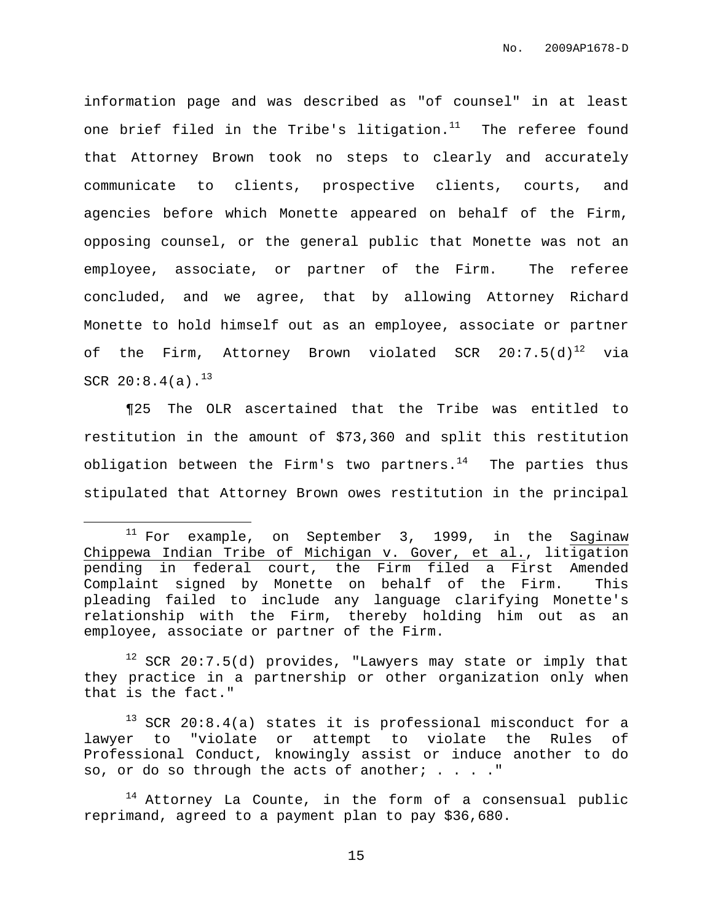information page and was described as "of counsel" in at least one brief filed in the Tribe's litigation. $^{11}$  The referee found that Attorney Brown took no steps to clearly and accurately communicate to clients, prospective clients, courts, and agencies before which Monette appeared on behalf of the Firm, opposing counsel, or the general public that Monette was not an employee, associate, or partner of the Firm. The referee concluded, and we agree, that by allowing Attorney Richard Monette to hold himself out as an employee, associate or partner of the Firm, Attorney Brown violated SCR 20:7.5(d) $^{12}$  via SCR  $20:8.4(a)$ .<sup>13</sup>

¶25 The OLR ascertained that the Tribe was entitled to restitution in the amount of \$73,360 and split this restitution obligation between the Firm's two partners. $^{14}$  The parties thus stipulated that Attorney Brown owes restitution in the principal

<sup>12</sup> SCR 20:7.5(d) provides, "Lawyers may state or imply that they practice in a partnership or other organization only when that is the fact."

 $13$  SCR 20:8.4(a) states it is professional misconduct for a lawyer to "violate or attempt to violate the Rules of Professional Conduct, knowingly assist or induce another to do so, or do so through the acts of another; . . . . "

 $14$  Attorney La Counte, in the form of a consensual public reprimand, agreed to a payment plan to pay \$36,680.

 $11$  For example, on September 3, 1999, in the Saginaw Chippewa Indian Tribe of Michigan v. Gover, et al., litigation pending in federal court, the Firm filed a First Amended Complaint signed by Monette on behalf of the Firm. This pleading failed to include any language clarifying Monette's relationship with the Firm, thereby holding him out as an employee, associate or partner of the Firm.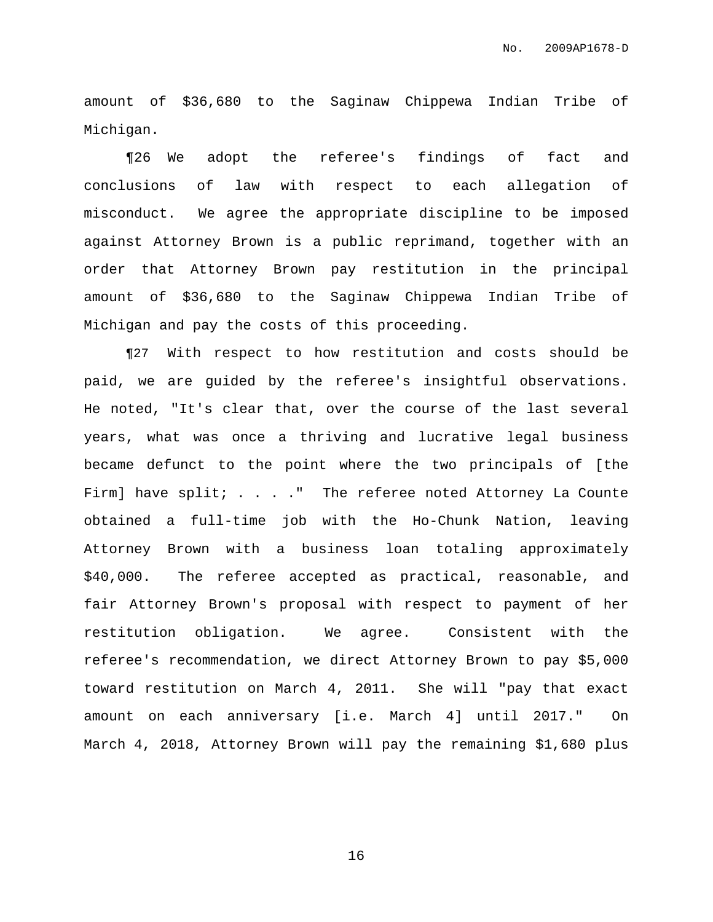amount of \$36,680 to the Saginaw Chippewa Indian Tribe of Michigan.

¶26 We adopt the referee's findings of fact and conclusions of law with respect to each allegation of misconduct. We agree the appropriate discipline to be imposed against Attorney Brown is a public reprimand, together with an order that Attorney Brown pay restitution in the principal amount of \$36,680 to the Saginaw Chippewa Indian Tribe of Michigan and pay the costs of this proceeding.

¶27 With respect to how restitution and costs should be paid, we are guided by the referee's insightful observations. He noted, "It's clear that, over the course of the last several years, what was once a thriving and lucrative legal business became defunct to the point where the two principals of [the Firm] have split; . . . . " The referee noted Attorney La Counte obtained a full-time job with the Ho-Chunk Nation, leaving Attorney Brown with a business loan totaling approximately \$40,000. The referee accepted as practical, reasonable, and fair Attorney Brown's proposal with respect to payment of her restitution obligation. We agree. Consistent with the referee's recommendation, we direct Attorney Brown to pay \$5,000 toward restitution on March 4, 2011. She will "pay that exact amount on each anniversary [i.e. March 4] until 2017." On March 4, 2018, Attorney Brown will pay the remaining \$1,680 plus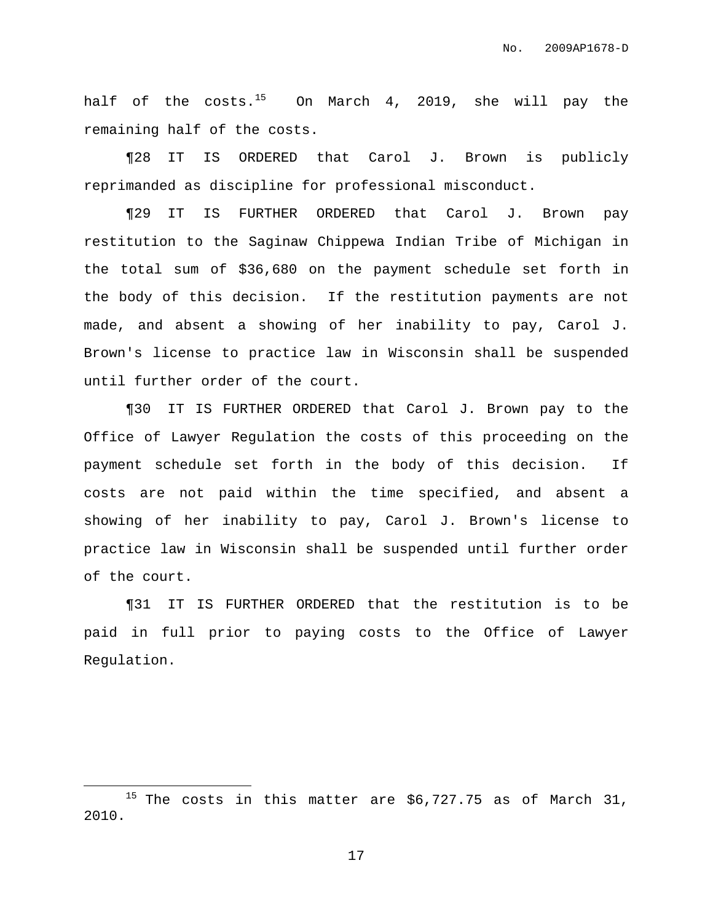half of the costs. <sup>15</sup> On March 4, 2019, she will pay the remaining half of the costs.

¶28 IT IS ORDERED that Carol J. Brown is publicly reprimanded as discipline for professional misconduct.

¶29 IT IS FURTHER ORDERED that Carol J. Brown pay restitution to the Saginaw Chippewa Indian Tribe of Michigan in the total sum of \$36,680 on the payment schedule set forth in the body of this decision. If the restitution payments are not made, and absent a showing of her inability to pay, Carol J. Brown's license to practice law in Wisconsin shall be suspended until further order of the court.

¶30 IT IS FURTHER ORDERED that Carol J. Brown pay to the Office of Lawyer Regulation the costs of this proceeding on the payment schedule set forth in the body of this decision. If costs are not paid within the time specified, and absent a showing of her inability to pay, Carol J. Brown's license to practice law in Wisconsin shall be suspended until further order of the court.

¶31 IT IS FURTHER ORDERED that the restitution is to be paid in full prior to paying costs to the Office of Lawyer Regulation.

<sup>&</sup>lt;sup>15</sup> The costs in this matter are  $$6,727.75$  as of March 31, 2010.